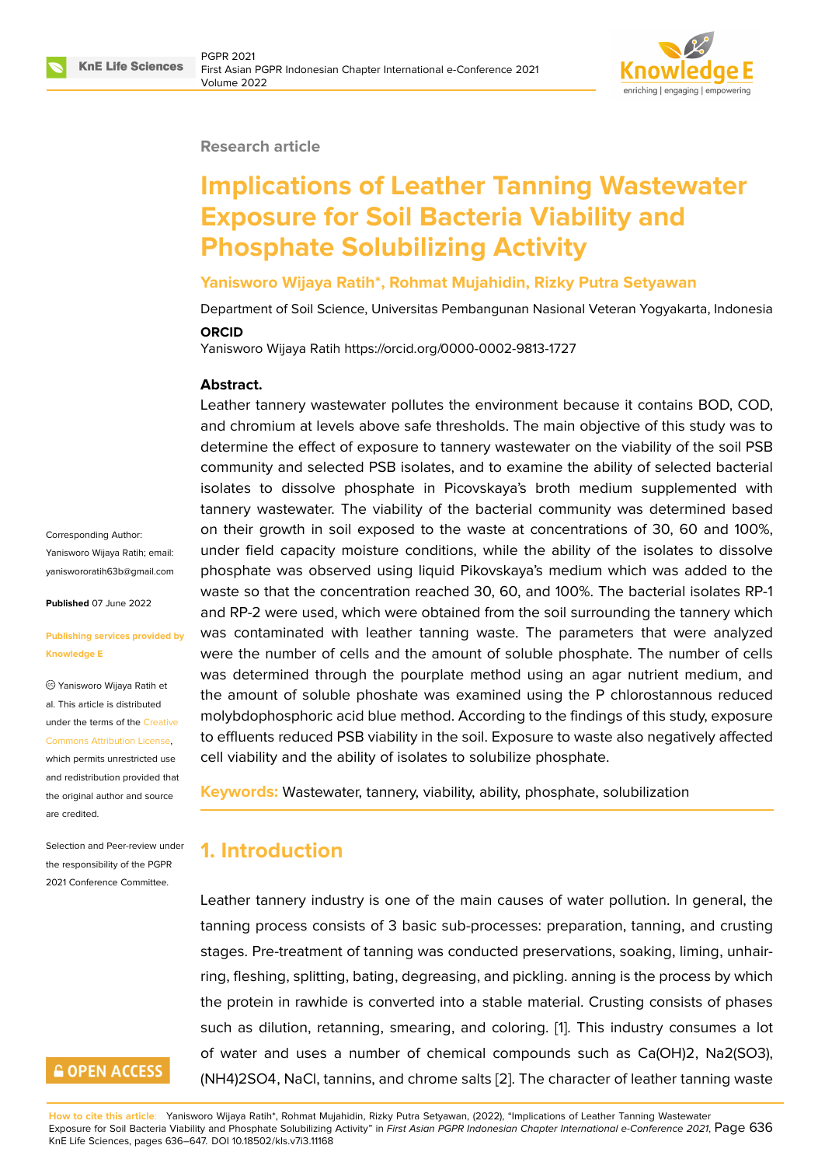

#### **Research article**

# **Implications of Leather Tanning Wastewater Exposure for Soil Bacteria Viability and Phosphate Solubilizing Activity**

#### **Yanisworo Wijaya Ratih\*, Rohmat Mujahidin, Rizky Putra Setyawan**

Department of Soil Science, Universitas Pembangunan Nasional Veteran Yogyakarta, Indonesia

#### **ORCID**

Yanisworo Wijaya Ratih https://orcid.org/0000-0002-9813-1727

#### **Abstract.**

Leather tannery wastewater pollutes the environment because it contains BOD, COD, and chromium at levels above safe thresholds. The main objective of this study was to determine the effect of exposure to tannery wastewater on the viability of the soil PSB community and selected PSB isolates, and to examine the ability of selected bacterial isolates to dissolve phosphate in Picovskaya's broth medium supplemented with tannery wastewater. The viability of the bacterial community was determined based on their growth in soil exposed to the waste at concentrations of 30, 60 and 100%, under field capacity moisture conditions, while the ability of the isolates to dissolve phosphate was observed using liquid Pikovskaya's medium which was added to the waste so that the concentration reached 30, 60, and 100%. The bacterial isolates RP-1 and RP-2 were used, which were obtained from the soil surrounding the tannery which was contaminated with leather tanning waste. The parameters that were analyzed were the number of cells and the amount of soluble phosphate. The number of cells was determined through the pourplate method using an agar nutrient medium, and the amount of soluble phoshate was examined using the P chlorostannous reduced molybdophosphoric acid blue method. According to the findings of this study, exposure to effluents reduced PSB viability in the soil. Exposure to waste also negatively affected cell viability and the ability of isolates to solubilize phosphate.

**Keywords:** Wastewater, tannery, viability, ability, phosphate, solubilization

# **1. Introduction**

Leather tannery industry is one of the main causes of water pollution. In general, the tanning process consists of 3 basic sub-processes: preparation, tanning, and crusting stages. Pre-treatment of tanning was conducted preservations, soaking, liming, unhairring, fleshing, splitting, bating, degreasing, and pickling. anning is the process by which the protein in rawhide is converted into a stable material. Crusting consists of phases such as dilution, retanning, smearing, and coloring. [1]. This industry consumes a lot of water and uses a number of chemical compounds such as Ca(OH)2, Na2(SO3), (NH4)2SO4, NaCl, tannins, and chrome salts [2]. The character of leather tanning waste

Corresponding Author: Yanisworo Wijaya Ratih; email: yaniswororatih63b@gmail.com

**Published** 07 June 2022

#### **[Publishing services provided b](mailto:yaniswororatih63b@gmail.com)y Knowledge E**

Yanisworo Wijaya Ratih et al. This article is distributed under the terms of the Creative Commons Attribution License,

which permits unrestricted use and redistribution provided that the original author and [source](https://creativecommons.org/licenses/by/4.0/) [are credited.](https://creativecommons.org/licenses/by/4.0/)

Selection and Peer-review under the responsibility of the PGPR 2021 Conference Committee.

# **GOPEN ACCESS**

**How to cite this article**: Yanisworo Wijaya Ratih\*, Rohmat Mujahidin, Rizky Putra Setyawan, (2022), "Implications of Leather Tanning Wastewater Exposure for Soil Bacteria Viability and Phosphate Solubilizing Activity" in *First Asian PGPR Indonesian Chapter International e-Conference 2021*, Page 636 KnE Life Sciences, pages 636–647. DOI 10.18502/kls.v7i3.11168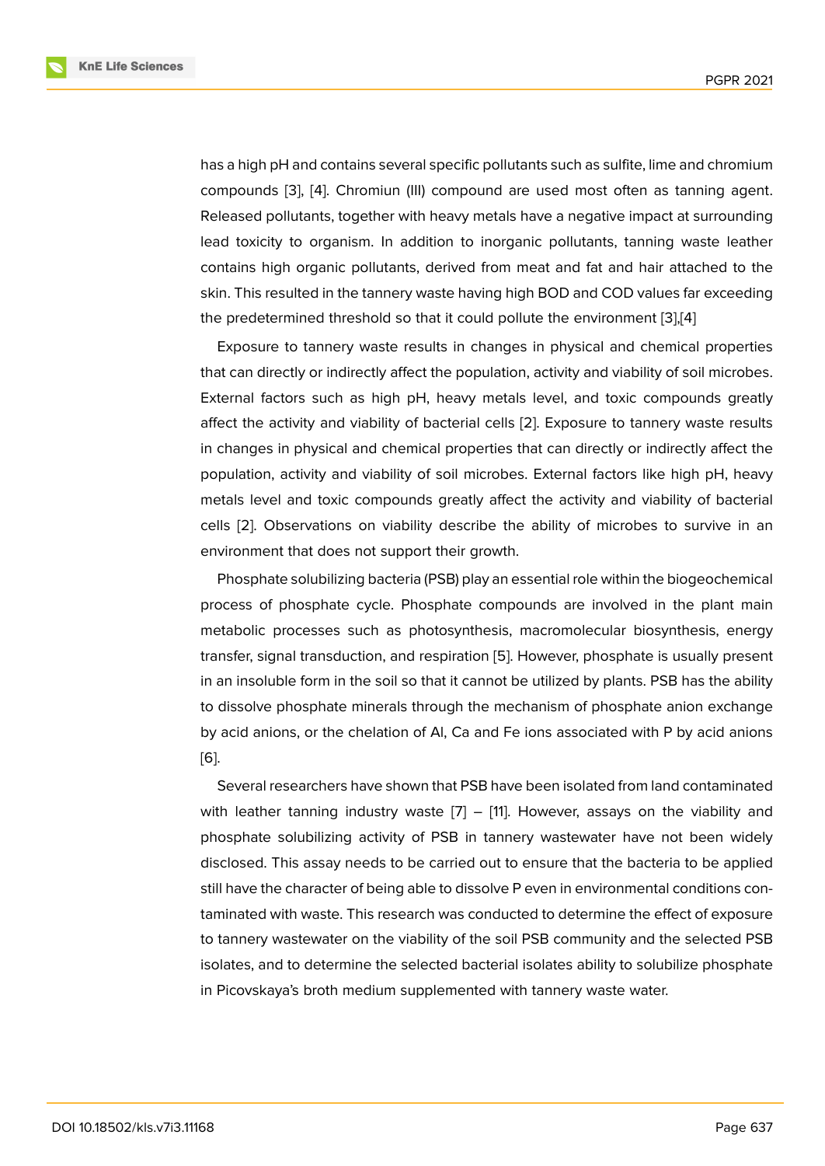has a high pH and contains several specific pollutants such as sulfite, lime and chromium compounds [3], [4]. Chromiun (III) compound are used most often as tanning agent. Released pollutants, together with heavy metals have a negative impact at surrounding lead toxicity to organism. In addition to inorganic pollutants, tanning waste leather contains hig[h o](#page-9-0)r[ga](#page-9-1)nic pollutants, derived from meat and fat and hair attached to the skin. This resulted in the tannery waste having high BOD and COD values far exceeding the predetermined threshold so that it could pollute the environment [3],[4]

Exposure to tannery waste results in changes in physical and chemical properties that can directly or indirectly affect the population, activity and viability of soil microbes. External factors such as high pH, heavy metals level, and toxic co[mp](#page-9-0)[ou](#page-9-1)nds greatly affect the activity and viability of bacterial cells [2]. Exposure to tannery waste results in changes in physical and chemical properties that can directly or indirectly affect the population, activity and viability of soil microbes. External factors like high pH, heavy metals level and toxic compounds greatly affec[t t](#page-9-2)he activity and viability of bacterial cells [2]. Observations on viability describe the ability of microbes to survive in an environment that does not support their growth.

Phosphate solubilizing bacteria (PSB) play an essential role within the biogeochemical proce[ss](#page-9-2) of phosphate cycle. Phosphate compounds are involved in the plant main metabolic processes such as photosynthesis, macromolecular biosynthesis, energy transfer, signal transduction, and respiration [5]. However, phosphate is usually present in an insoluble form in the soil so that it cannot be utilized by plants. PSB has the ability to dissolve phosphate minerals through the mechanism of phosphate anion exchange by acid anions, or the chelation of Al, Ca an[d F](#page-9-3)e ions associated with P by acid anions [6].

Several researchers have shown that PSB have been isolated from land contaminated with leather tanning industry waste  $[7] - [11]$ . However, assays on the viability and [ph](#page-10-0)osphate solubilizing activity of PSB in tannery wastewater have not been widely disclosed. This assay needs to be carried out to ensure that the bacteria to be applied still have the character of being able to [d](#page-10-1)isso[lve](#page-10-2) P even in environmental conditions contaminated with waste. This research was conducted to determine the effect of exposure to tannery wastewater on the viability of the soil PSB community and the selected PSB isolates, and to determine the selected bacterial isolates ability to solubilize phosphate in Picovskaya's broth medium supplemented with tannery waste water.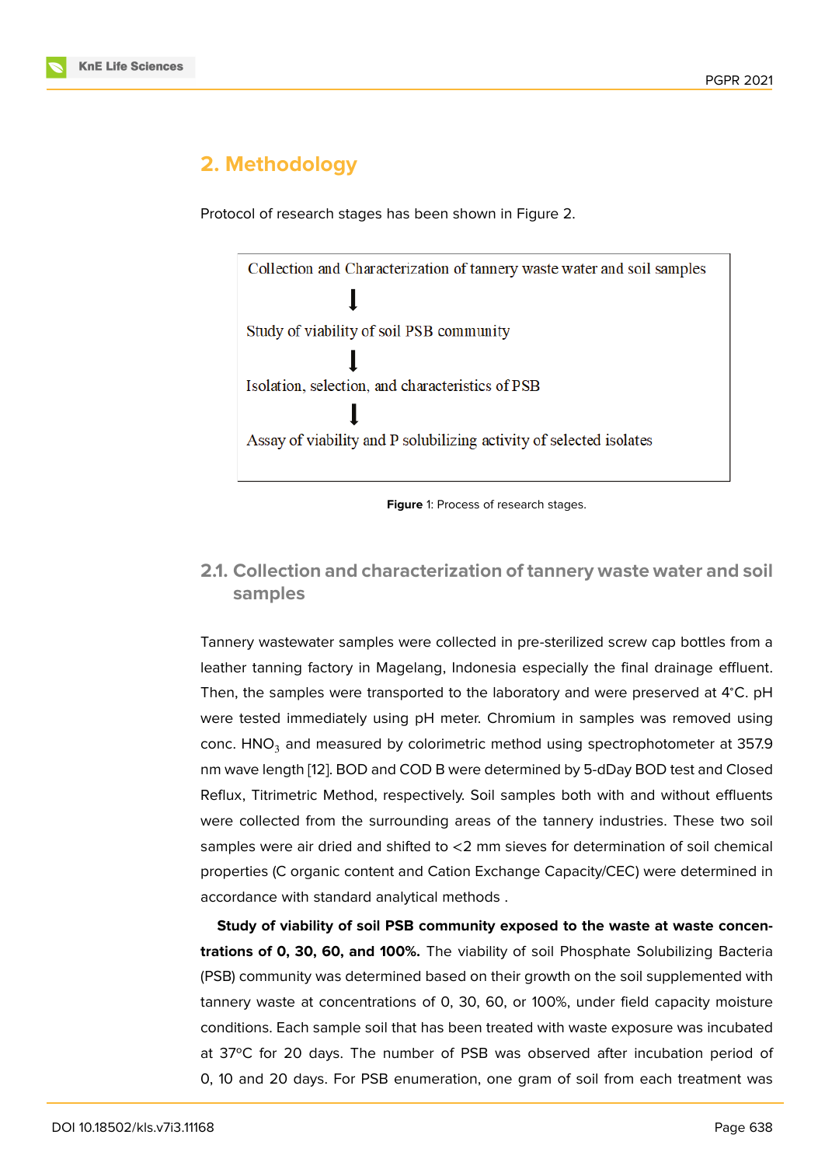# **2. Methodology**

Protocol of research stages has been shown in Figure 2.

Collection and Characterization of tannery waste water and soil samples

Study of viability of soil PSB community

Isolation, selection, and characteristics of PSB

Assay of viability and P solubilizing activity of selected isolates

### **2.1. Collection and characterization of tannery waste water and soil samples**

Tannery wastewater samples were collected in pre-sterilized screw cap bottles from a leather tanning factory in Magelang, Indonesia especially the final drainage effluent. Then, the samples were transported to the laboratory and were preserved at 4<sup>∘</sup>C. pH were tested immediately using pH meter. Chromium in samples was removed using conc.  $HNO<sub>3</sub>$  and measured by colorimetric method using spectrophotometer at 357.9 nm wave length [12]. BOD and COD B were determined by 5-dDay BOD test and Closed Reflux, Titrimetric Method, respectively. Soil samples both with and without effluents were collected from the surrounding areas of the tannery industries. These two soil samples were ai[r d](#page-10-3)ried and shifted to <2 mm sieves for determination of soil chemical properties (C organic content and Cation Exchange Capacity/CEC) were determined in accordance with standard analytical methods .

**Study of viability of soil PSB community exposed to the waste at waste concentrations of 0, 30, 60, and 100%.** The viability of soil Phosphate Solubilizing Bacteria (PSB) community was determined based on their growth on the soil supplemented with tannery waste at concentrations of 0, 30, 60, or 100%, under field capacity moisture conditions. Each sample soil that has been treated with waste exposure was incubated at 37ºC for 20 days. The number of PSB was observed after incubation period of 0, 10 and 20 days. For PSB enumeration, one gram of soil from each treatment was

**Figure** 1: Process of research stages.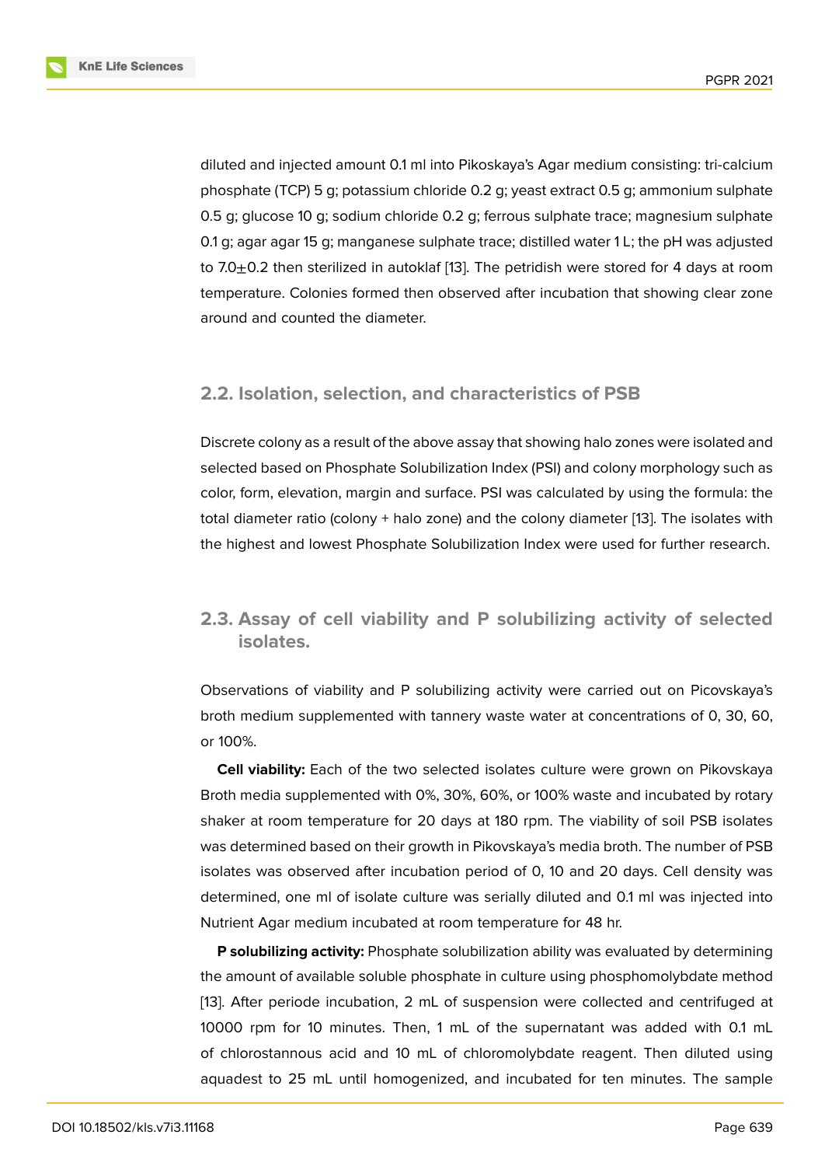diluted and injected amount 0.1 ml into Pikoskaya's Agar medium consisting: tri-calcium phosphate (TCP) 5 g; potassium chloride 0.2 g; yeast extract 0.5 g; ammonium sulphate 0.5 g; glucose 10 g; sodium chloride 0.2 g; ferrous sulphate trace; magnesium sulphate 0.1 g; agar agar 15 g; manganese sulphate trace; distilled water 1 L; the pH was adjusted to 7.0 $\pm$ 0.2 then sterilized in autoklaf [13]. The petridish were stored for 4 days at room temperature. Colonies formed then observed after incubation that showing clear zone around and counted the diameter.

### **2.2. Isolation, selection, and characteristics of PSB**

Discrete colony as a result of the above assay that showing halo zones were isolated and selected based on Phosphate Solubilization Index (PSI) and colony morphology such as color, form, elevation, margin and surface. PSI was calculated by using the formula: the total diameter ratio (colony + halo zone) and the colony diameter [13]. The isolates with the highest and lowest Phosphate Solubilization Index were used for further research.

# **2.3. Assay of cell viability and P solubilizing activity of selected isolates.**

Observations of viability and P solubilizing activity were carried out on Picovskaya's broth medium supplemented with tannery waste water at concentrations of 0, 30, 60, or 100%.

**Cell viability:** Each of the two selected isolates culture were grown on Pikovskaya Broth media supplemented with 0%, 30%, 60%, or 100% waste and incubated by rotary shaker at room temperature for 20 days at 180 rpm. The viability of soil PSB isolates was determined based on their growth in Pikovskaya's media broth. The number of PSB isolates was observed after incubation period of 0, 10 and 20 days. Cell density was determined, one ml of isolate culture was serially diluted and 0.1 ml was injected into Nutrient Agar medium incubated at room temperature for 48 hr.

**P solubilizing activity:** Phosphate solubilization ability was evaluated by determining the amount of available soluble phosphate in culture using phosphomolybdate method [13]. After periode incubation, 2 mL of suspension were collected and centrifuged at 10000 rpm for 10 minutes. Then, 1 mL of the supernatant was added with 0.1 mL of chlorostannous acid and 10 mL of chloromolybdate reagent. Then diluted using [aqu](#page-10-4)adest to 25 mL until homogenized, and incubated for ten minutes. The sample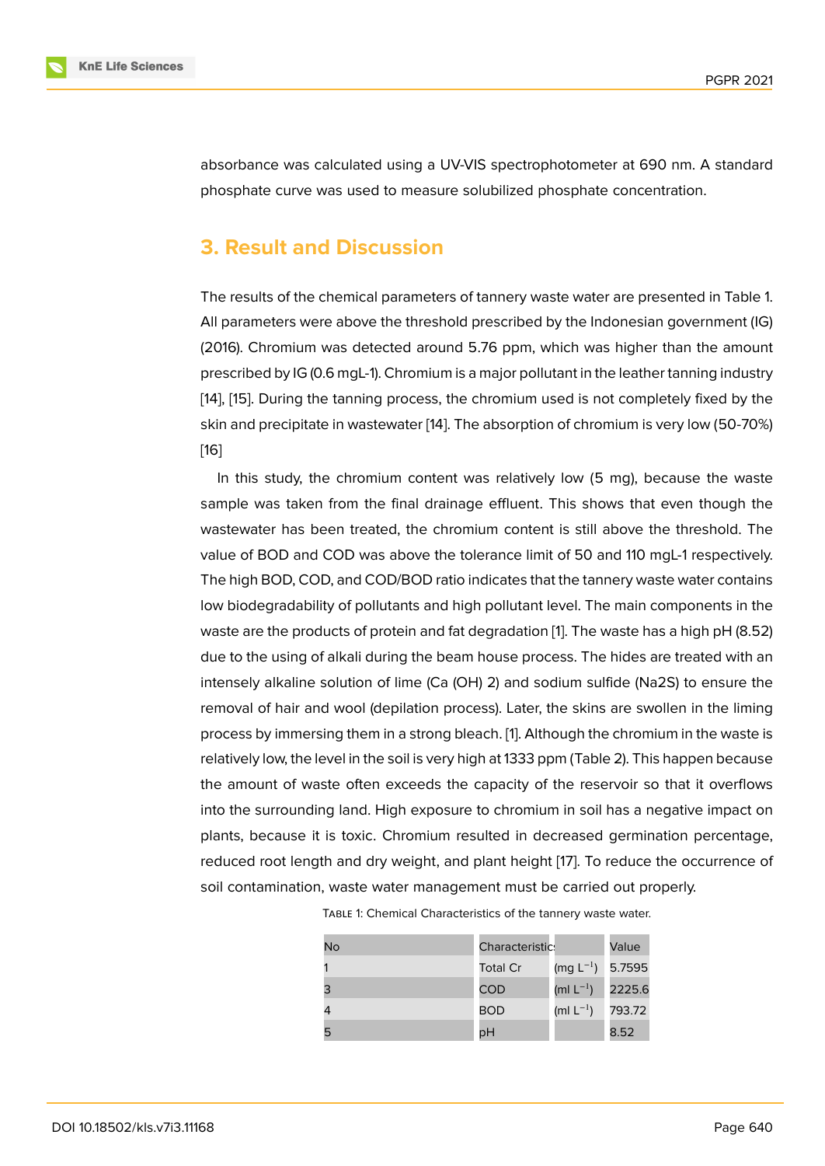absorbance was calculated using a UV-VIS spectrophotometer at 690 nm. A standard phosphate curve was used to measure solubilized phosphate concentration.

# **3. Result and Discussion**

The results of the chemical parameters of tannery waste water are presented in Table 1. All parameters were above the threshold prescribed by the Indonesian government (IG) (2016). Chromium was detected around 5.76 ppm, which was higher than the amount prescribed by IG (0.6 mgL-1). Chromium is a major pollutant in the leather tanning industry [14], [15]. During the tanning process, the chromium used is not completely fixed by the skin and precipitate in wastewater [14]. The absorption of chromium is very low (50-70%) [16]

[I](#page-10-5)n [th](#page-10-6)is study, the chromium content was relatively low (5 mg), because the waste sample was taken from the final [dra](#page-10-5)inage effluent. This shows that even though the [wa](#page-11-0)stewater has been treated, the chromium content is still above the threshold. The value of BOD and COD was above the tolerance limit of 50 and 110 mgL-1 respectively. The high BOD, COD, and COD/BOD ratio indicates that the tannery waste water contains low biodegradability of pollutants and high pollutant level. The main components in the waste are the products of protein and fat degradation [1]. The waste has a high pH (8.52) due to the using of alkali during the beam house process. The hides are treated with an intensely alkaline solution of lime (Ca (OH) 2) and sodium sulfide (Na2S) to ensure the removal of hair and wool (depilation process). Later, t[he](#page-9-4) skins are swollen in the liming process by immersing them in a strong bleach. [1]. Although the chromium in the waste is relatively low, the level in the soil is very high at 1333 ppm (Table 2). This happen because the amount of waste often exceeds the capacity of the reservoir so that it overflows into the surrounding land. High exposure to c[hro](#page-9-4)mium in soil has a negative impact on plants, because it is toxic. Chromium resulted in decreased germination percentage, reduced root length and dry weight, and plant height [17]. To reduce the occurrence of soil contamination, waste water management must be carried out properly.

| No | Characteristic: |                         | Value  |
|----|-----------------|-------------------------|--------|
| 1  | <b>Total Cr</b> | (mg L $^{-1}$ )         | 5.7595 |
| 3  | <b>COD</b>      | (ml $\mathsf{L}^{-1}$ ) | 2225.6 |
| 4  | <b>BOD</b>      | (ml $L^{-1}$ )          | 793.72 |
| 5  | pH              |                         | 8.52   |

| TABLE 1: Chemical Characteristics of the tannery waste water. |  |  |
|---------------------------------------------------------------|--|--|
|---------------------------------------------------------------|--|--|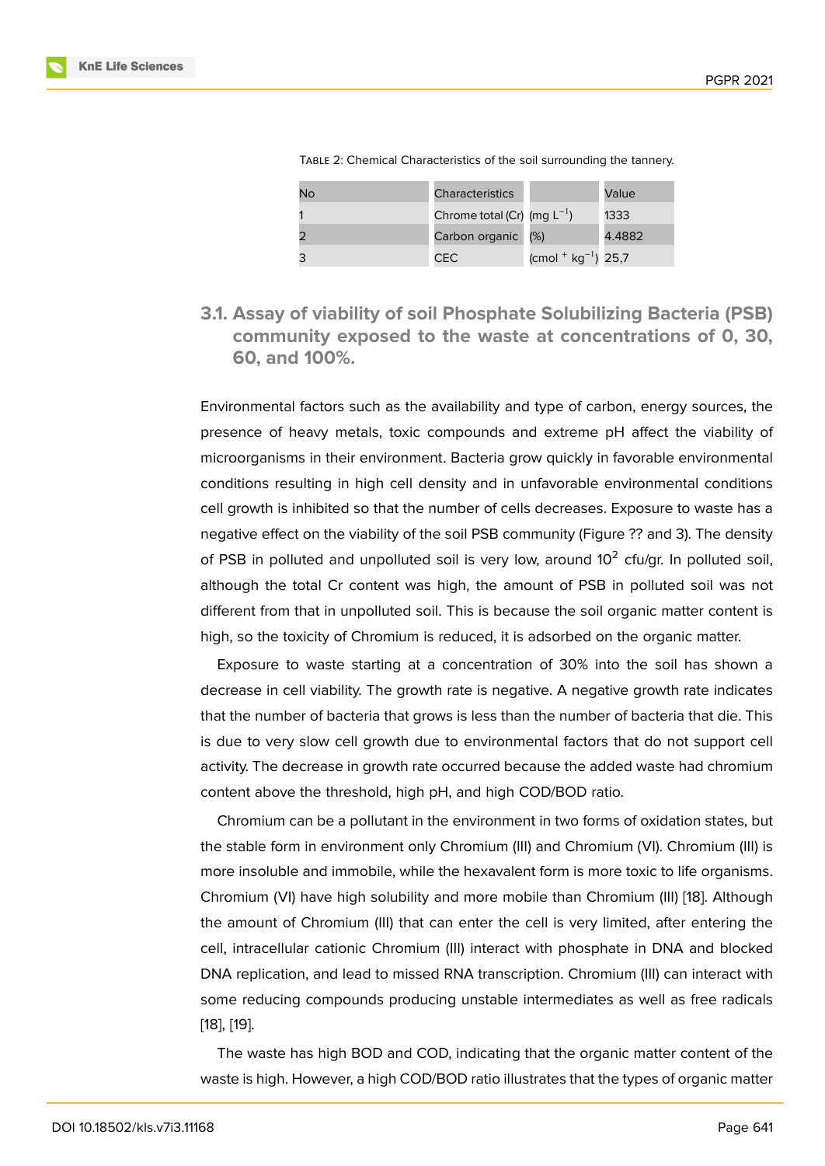| TABLE 2: Chemical Characteristics of the soil surrounding the tannery. |  |  |  |  |
|------------------------------------------------------------------------|--|--|--|--|
|------------------------------------------------------------------------|--|--|--|--|

| No | <b>Characteristics</b>           |                         | Value  |
|----|----------------------------------|-------------------------|--------|
|    | Chrome total (Cr) (mg $L^{-1}$ ) |                         | 1333   |
| 2  | Carbon organic                   | (%)                     | 4.4882 |
| 3  | CEC                              | $(cmol + kg^{-1})$ 25,7 |        |

**3.1. Assay of viability of soil Phosphate Solubilizing Bacteria (PSB) community exposed to the waste at concentrations of 0, 30, 60, and 100%.**

Environmental factors such as the availability and type of carbon, energy sources, the presence of heavy metals, toxic compounds and extreme pH affect the viability of microorganisms in their environment. Bacteria grow quickly in favorable environmental conditions resulting in high cell density and in unfavorable environmental conditions cell growth is inhibited so that the number of cells decreases. Exposure to waste has a negative effect on the viability of the soil PSB community (Figure ?? and 3). The density of PSB in polluted and unpolluted soil is very low, around  $10^2$  cfu/gr. In polluted soil, although the total Cr content was high, the amount of PSB in polluted soil was not different from that in unpolluted soil. This is because the soil organic matter content is high, so the toxicity of Chromium is reduced, it is adsorbed on the organic matter.

Exposure to waste starting at a concentration of 30% into the soil has shown a decrease in cell viability. The growth rate is negative. A negative growth rate indicates that the number of bacteria that grows is less than the number of bacteria that die. This is due to very slow cell growth due to environmental factors that do not support cell activity. The decrease in growth rate occurred because the added waste had chromium content above the threshold, high pH, and high COD/BOD ratio.

Chromium can be a pollutant in the environment in two forms of oxidation states, but the stable form in environment only Chromium (III) and Chromium (VI). Chromium (III) is more insoluble and immobile, while the hexavalent form is more toxic to life organisms. Chromium (VI) have high solubility and more mobile than Chromium (III) [18]. Although the amount of Chromium (III) that can enter the cell is very limited, after entering the cell, intracellular cationic Chromium (III) interact with phosphate in DNA and blocked DNA replication, and lead to missed RNA transcription. Chromium (III) ca[n in](#page-11-1)teract with some reducing compounds producing unstable intermediates as well as free radicals [18], [19].

The waste has high BOD and COD, indicating that the organic matter content of the [wa](#page-11-1)st[e is](#page-11-2) high. However, a high COD/BOD ratio illustrates that the types of organic matter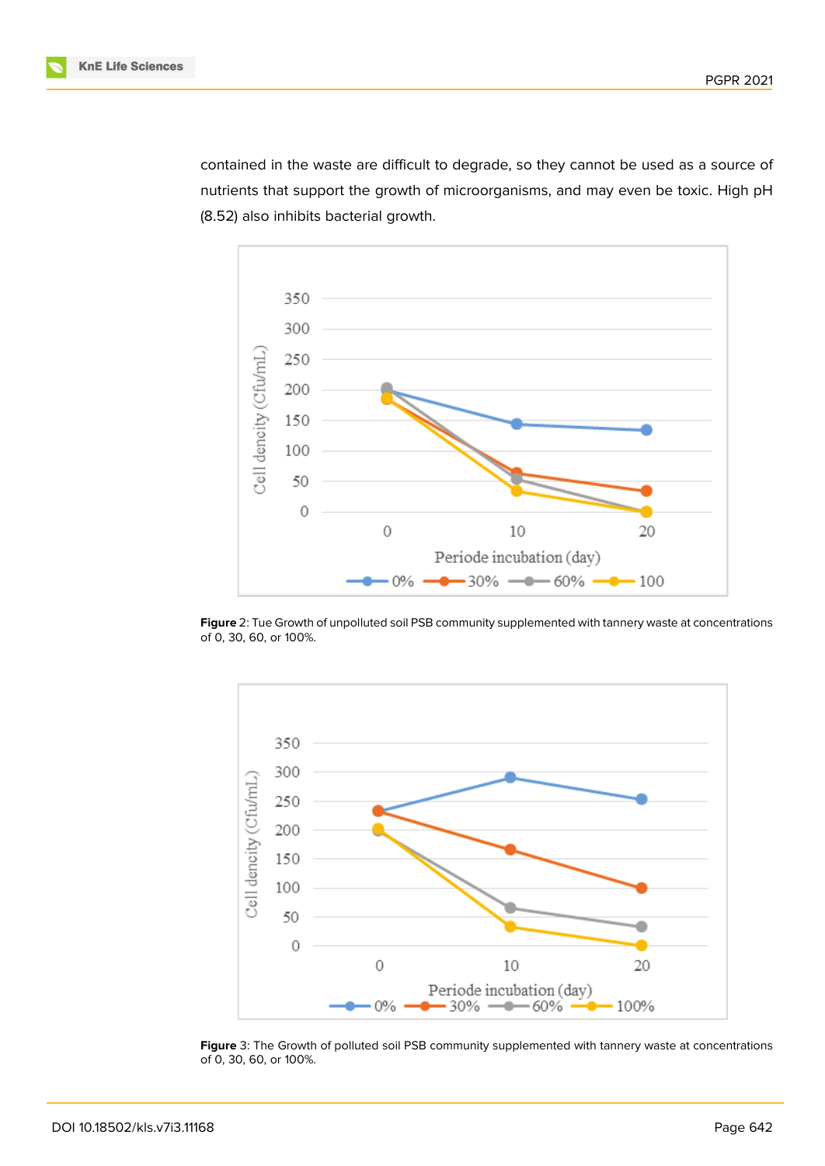

contained in the waste are difficult to degrade, so they cannot be used as a source of nutrients that support the growth of microorganisms, and may even be toxic. High pH (8.52) also inhibits bacterial growth.



**Figure** 2: Tue Growth of unpolluted soil PSB community supplemented with tannery waste at concentrations of 0, 30, 60, or 100%.



**Figure** 3: The Growth of polluted soil PSB community supplemented with tannery waste at concentrations of 0, 30, 60, or 100%.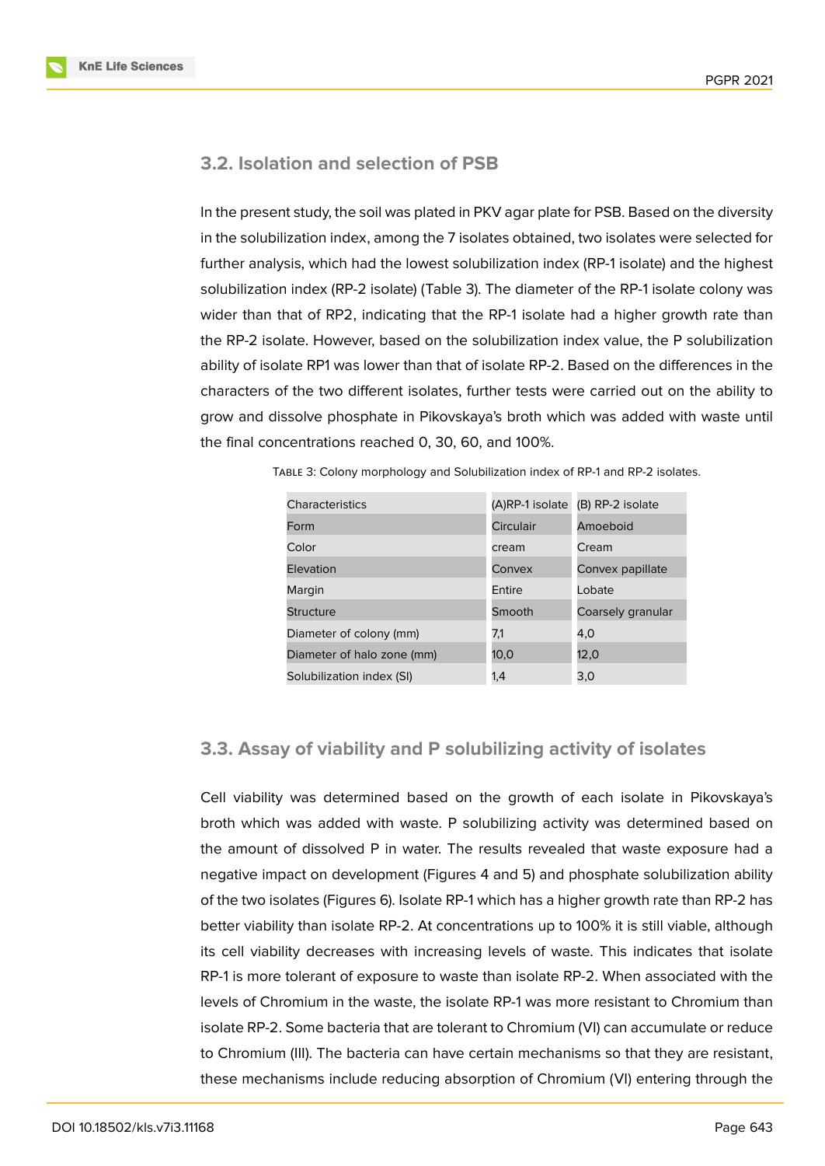

### **3.2. Isolation and selection of PSB**

In the present study, the soil was plated in PKV agar plate for PSB. Based on the diversity in the solubilization index, among the 7 isolates obtained, two isolates were selected for further analysis, which had the lowest solubilization index (RP-1 isolate) and the highest solubilization index (RP-2 isolate) (Table 3). The diameter of the RP-1 isolate colony was wider than that of RP2, indicating that the RP-1 isolate had a higher growth rate than the RP-2 isolate. However, based on the solubilization index value, the P solubilization ability of isolate RP1 was lower than that of isolate RP-2. Based on the differences in the characters of the two different isolates, further tests were carried out on the ability to grow and dissolve phosphate in Pikovskaya's broth which was added with waste until the final concentrations reached 0, 30, 60, and 100%.

| Characteristics            | (A)RP-1 isolate | (B) RP-2 isolate  |
|----------------------------|-----------------|-------------------|
| Form                       | Circulair       | Amoeboid          |
| Color                      | cream           | Cream             |
| Elevation                  | Convex          | Convex papillate  |
| Margin                     | <b>Fntire</b>   | Lobate            |
| Structure                  | Smooth          | Coarsely granular |
| Diameter of colony (mm)    | 7,1             | 4.0               |
| Diameter of halo zone (mm) | 10,0            | 12,0              |
| Solubilization index (SI)  | 1,4             | 3,0               |

Table 3: Colony morphology and Solubilization index of RP-1 and RP-2 isolates.

### **3.3. Assay of viability and P solubilizing activity of isolates**

Cell viability was determined based on the growth of each isolate in Pikovskaya's broth which was added with waste. P solubilizing activity was determined based on the amount of dissolved P in water. The results revealed that waste exposure had a negative impact on development (Figures 4 and 5) and phosphate solubilization ability of the two isolates (Figures 6). Isolate RP-1 which has a higher growth rate than RP-2 has better viability than isolate RP-2. At concentrations up to 100% it is still viable, although its cell viability decreases with increasing levels of waste. This indicates that isolate RP-1 is more tolerant of exposure to waste than isolate RP-2. When associated with the levels of Chromium in the waste, the isolate RP-1 was more resistant to Chromium than isolate RP-2. Some bacteria that are tolerant to Chromium (VI) can accumulate or reduce to Chromium (III). The bacteria can have certain mechanisms so that they are resistant, these mechanisms include reducing absorption of Chromium (VI) entering through the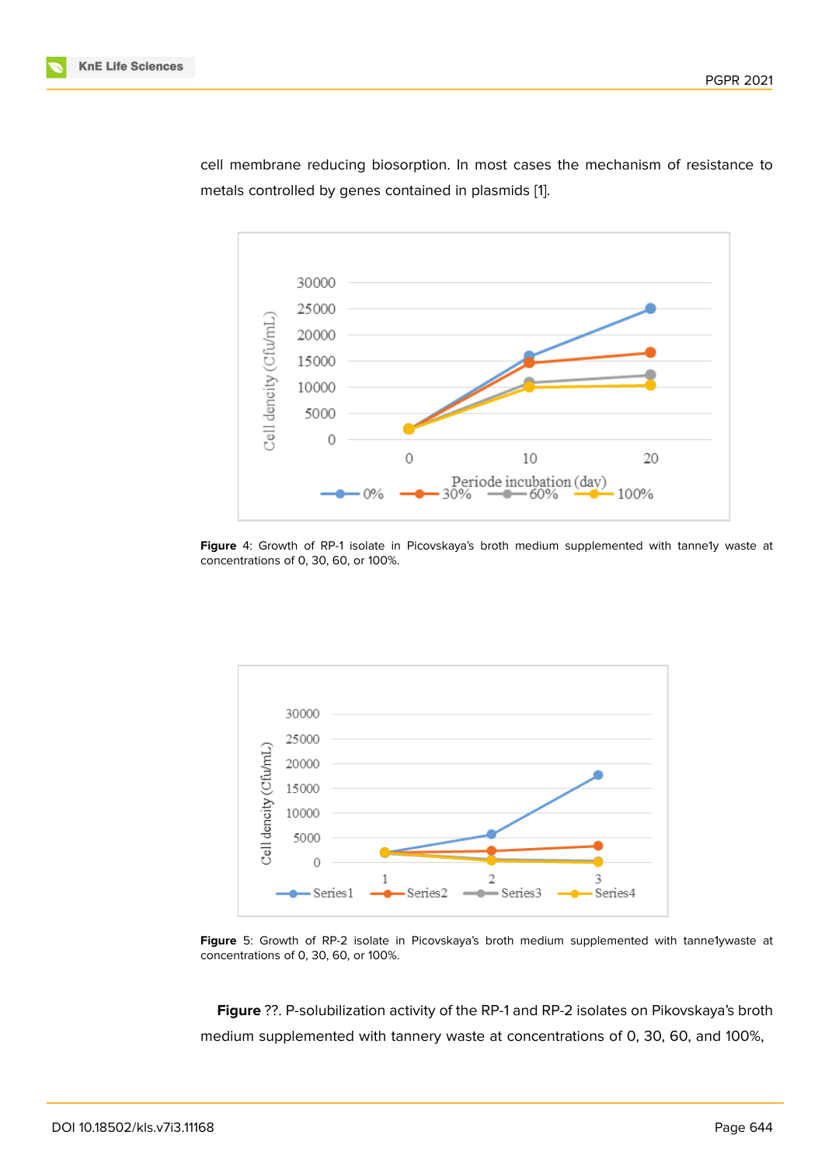

cell membrane reducing biosorption. In most cases the mechanism of resistance to metals controlled by genes contained in plasmids [1].

Figure 4: Growth of RP-1 isolate in Picovskaya's broth medium supplemented with tanne1y waste at concentrations of 0, 30, 60, or 100%.



**Figure** 5: Growth of RP-2 isolate in Picovskaya's broth medium supplemented with tanne1ywaste at concentrations of 0, 30, 60, or 100%.

**Figure** ??. P-solubilization activity of the RP-1 and RP-2 isolates on Pikovskaya's broth medium supplemented with tannery waste at concentrations of 0, 30, 60, and 100%,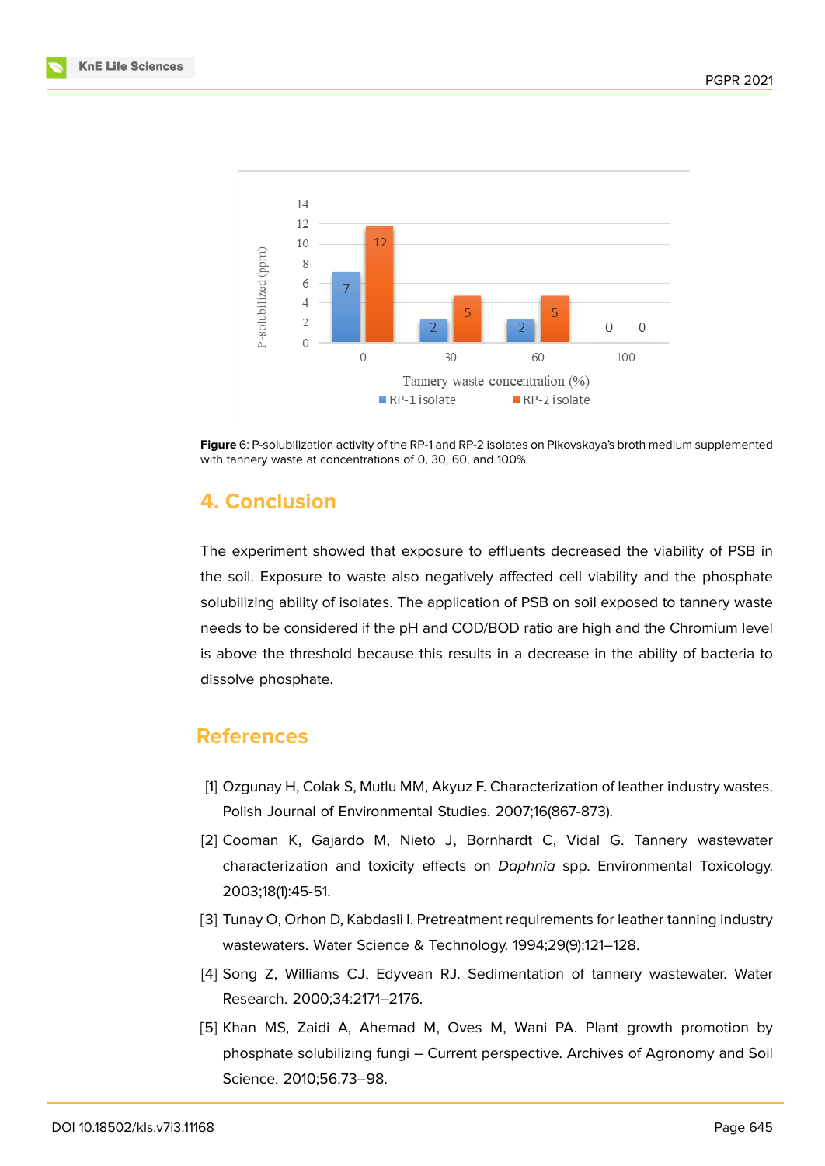



**Figure** 6: P-solubilization activity of the RP-1 and RP-2 isolates on Pikovskaya's broth medium supplemented with tannery waste at concentrations of 0, 30, 60, and 100%.

### **4. Conclusion**

The experiment showed that exposure to effluents decreased the viability of PSB in the soil. Exposure to waste also negatively affected cell viability and the phosphate solubilizing ability of isolates. The application of PSB on soil exposed to tannery waste needs to be considered if the pH and COD/BOD ratio are high and the Chromium level is above the threshold because this results in a decrease in the ability of bacteria to dissolve phosphate.

# **References**

- <span id="page-9-4"></span>[1] Ozgunay H, Colak S, Mutlu MM, Akyuz F. Characterization of leather industry wastes. Polish Journal of Environmental Studies. 2007;16(867-873).
- <span id="page-9-2"></span>[2] Cooman K, Gajardo M, Nieto J, Bornhardt C, Vidal G. Tannery wastewater characterization and toxicity effects on *Daphnia* spp. Environmental Toxicology. 2003;18(1):45-51.
- <span id="page-9-0"></span>[3] Tunay O, Orhon D, Kabdasli I. Pretreatment requirements for leather tanning industry wastewaters. Water Science & Technology. 1994;29(9):121–128.
- <span id="page-9-1"></span>[4] Song Z, Williams CJ, Edyvean RJ. Sedimentation of tannery wastewater. Water Research. 2000;34:2171–2176.
- <span id="page-9-3"></span>[5] Khan MS, Zaidi A, Ahemad M, Oves M, Wani PA. Plant growth promotion by phosphate solubilizing fungi – Current perspective. Archives of Agronomy and Soil Science. 2010;56:73–98.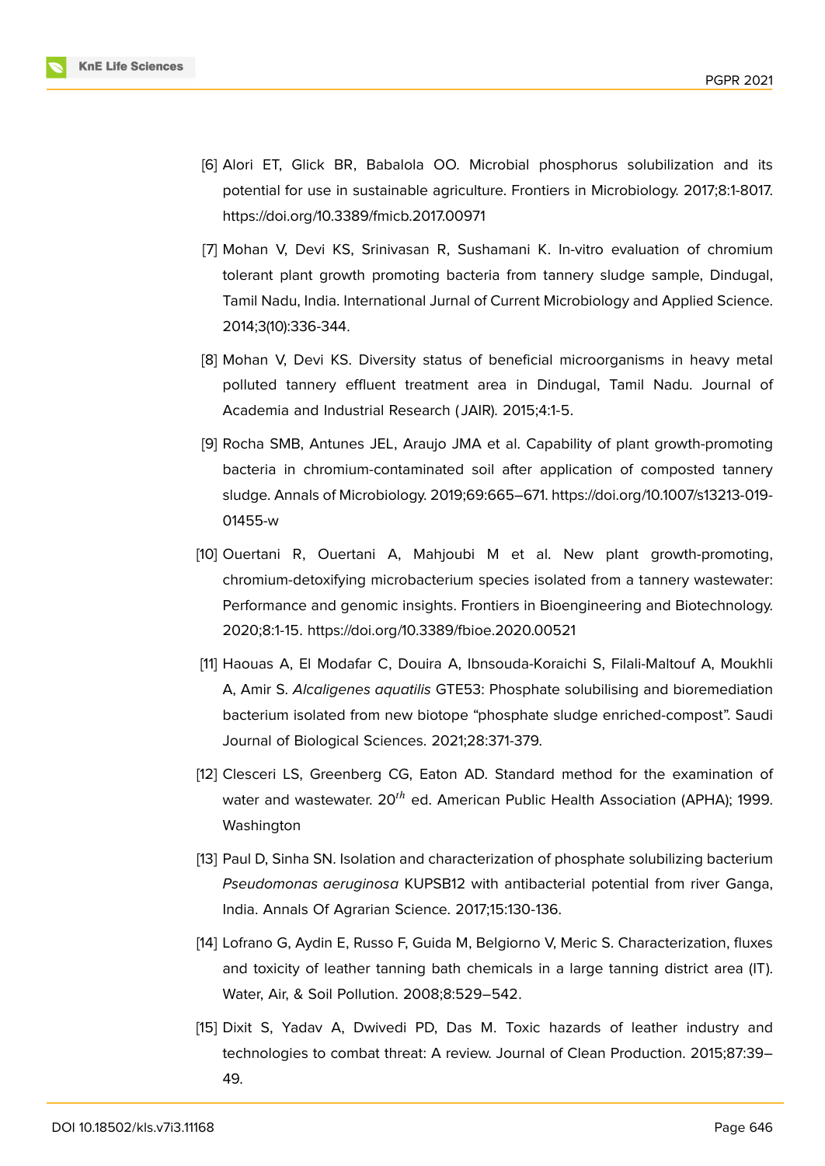

- <span id="page-10-0"></span>[6] Alori ET, Glick BR, Babalola OO. Microbial phosphorus solubilization and its potential for use in sustainable agriculture. Frontiers in Microbiology. 2017;8:1-8017. https://doi.org/10.3389/fmicb.2017.00971
- <span id="page-10-1"></span>[7] Mohan V, Devi KS, Srinivasan R, Sushamani K. In-vitro evaluation of chromium tolerant plant growth promoting bacteria from tannery sludge sample, Dindugal, Tamil Nadu, India. International Jurnal of Current Microbiology and Applied Science. 2014;3(10):336-344.
- [8] Mohan V, Devi KS. Diversity status of beneficial microorganisms in heavy metal polluted tannery effluent treatment area in Dindugal, Tamil Nadu. Journal of Academia and Industrial Research ( JAIR). 2015;4:1-5.
- [9] Rocha SMB, Antunes JEL, Araujo JMA et al. Capability of plant growth-promoting bacteria in chromium-contaminated soil after application of composted tannery sludge. Annals of Microbiology. 2019;69:665–671. https://doi.org/10.1007/s13213-019- 01455-w
- [10] Ouertani R, Ouertani A, Mahjoubi M et al. New plant growth-promoting, chromium-detoxifying microbacterium species isolated from a tannery wastewater: Performance and genomic insights. Frontiers in Bioengineering and Biotechnology. 2020;8:1-15. https://doi.org/10.3389/fbioe.2020.00521
- <span id="page-10-2"></span>[11] Haouas A, El Modafar C, Douira A, Ibnsouda-Koraichi S, Filali-Maltouf A, Moukhli A, Amir S. *Alcaligenes aquatilis* GTE53: Phosphate solubilising and bioremediation bacterium isolated from new biotope "phosphate sludge enriched-compost". Saudi Journal of Biological Sciences. 2021;28:371-379.
- <span id="page-10-3"></span>[12] Clesceri LS, Greenberg CG, Eaton AD. Standard method for the examination of water and wastewater.  $20^{th}$  ed. American Public Health Association (APHA); 1999. Washington
- <span id="page-10-4"></span>[13] Paul D, Sinha SN. Isolation and characterization of phosphate solubilizing bacterium *Pseudomonas aeruginosa* KUPSB12 with antibacterial potential from river Ganga, India. Annals Of Agrarian Science. 2017;15:130-136.
- <span id="page-10-5"></span>[14] Lofrano G, Aydin E, Russo F, Guida M, Belgiorno V, Meric S. Characterization, fluxes and toxicity of leather tanning bath chemicals in a large tanning district area (IT). Water, Air, & Soil Pollution. 2008;8:529–542.
- <span id="page-10-6"></span>[15] Dixit S, Yadav A, Dwivedi PD, Das M. Toxic hazards of leather industry and technologies to combat threat: A review. Journal of Clean Production. 2015;87:39– 49.